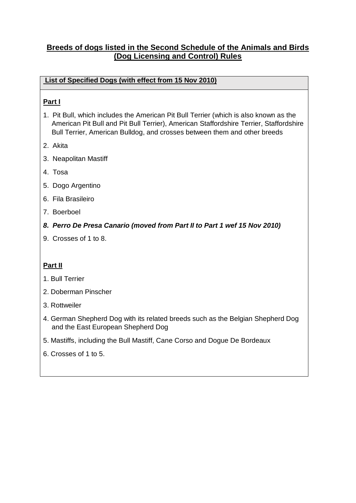# **Breeds of dogs listed in the Second Schedule of the Animals and Birds (Dog Licensing and Control) Rules**

## **List of Specified Dogs (with effect from 15 Nov 2010)**

# **Part I**

- 1. Pit Bull, which includes the American Pit Bull Terrier (which is also known as the American Pit Bull and Pit Bull Terrier), American Staffordshire Terrier, Staffordshire Bull Terrier, American Bulldog, and crosses between them and other breeds
- 2. Akita
- 3. Neapolitan Mastiff
- 4. Tosa
- 5. Dogo Argentino
- 6. Fila Brasileiro
- 7. Boerboel
- *8. Perro De Presa Canario (moved from Part II to Part 1 wef 15 Nov 2010)*
- 9. Crosses of 1 to 8.

### **Part II**

- 1. Bull Terrier
- 2. Doberman Pinscher
- 3. Rottweiler
- 4. German Shepherd Dog with its related breeds such as the Belgian Shepherd Dog and the East European Shepherd Dog
- 5. Mastiffs, including the Bull Mastiff, Cane Corso and Dogue De Bordeaux
- 6. Crosses of 1 to 5.